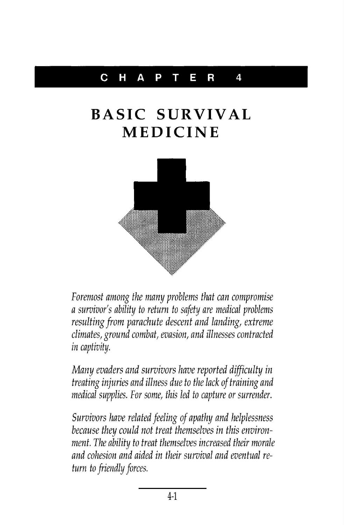## **CHAPTER 4**

## **BASIC SURVIVAL MEDICINE**



Foremost among the many problems that can compromise a survivor's ability to return to safety are medical problems resulting from parachute descent and landing, extreme climates, ground combat, evasion, and illnesses contracted in captivity.

Many evaders and survivors have reported difficulty in treating injuries and illness due to the lack of training and medical supplies. For some, this led to capture or surrender.

Survivors have related feeling of apathy and helplessness because they could not treat themselves in this environment. The ability to treat themselves increased their morale and cohesion and aided in their survival and eventual return to friendly forces.